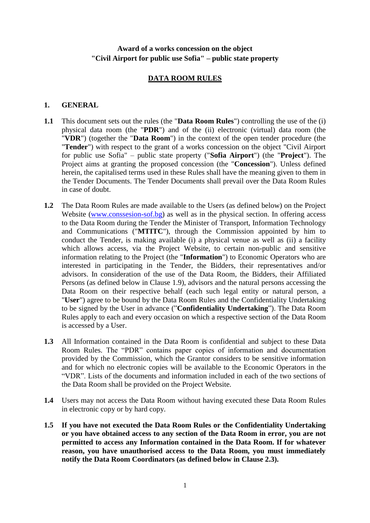## **Award of a works concession on the object "Civil Airport for public use Sofia" – public state property**

## **DATA ROOM RULES**

#### **1. GENERAL**

- **1.1** This document sets out the rules (the "**Data Room Rules**") controlling the use of the (i) physical data room (the "**PDR**") and of the (ii) electronic (virtual) data room (the "**VDR**") (together the "**Data Room**") in the context of the open tender procedure (the "**Tender**") with respect to the grant of a works concession on the object "Civil Airport for public use Sofia" – public state property ("**Sofia Airport**") (the "**Project**"). The Project aims at granting the proposed concession (the "**Concession**"). Unless defined herein, the capitalised terms used in these Rules shall have the meaning given to them in the Tender Documents. The Tender Documents shall prevail over the Data Room Rules in case of doubt.
- **1.2** The Data Room Rules are made available to the Users (as defined below) on the Project Website [\(www.conssesion-sof.bg\)](http://www.conssesion-sof.bg/) as well as in the physical section. In offering access to the Data Room during the Tender the Minister of Transport, Information Technology and Communications ("**MTITC**"), through the Commission appointed by him to conduct the Tender, is making available (i) a physical venue as well as (ii) a facility which allows access, via the Project Website, to certain non-public and sensitive information relating to the Project (the "**Information**") to Economic Operators who are interested in participating in the Tender, the Bidders, their representatives and/or advisors. In consideration of the use of the Data Room, the Bidders, their Affiliated Persons (as defined below in Clause [1.9\)](#page-1-0), advisors and the natural persons accessing the Data Room on their respective behalf (each such legal entity or natural person, a "**User**") agree to be bound by the Data Room Rules and the Confidentiality Undertaking to be signed by the User in advance ("**Confidentiality Undertaking**"). The Data Room Rules apply to each and every occasion on which a respective section of the Data Room is accessed by a User.
- **1.3** All Information contained in the Data Room is confidential and subject to these Data Room Rules. The "PDR" contains paper copies of information and documentation provided by the Commission, which the Grantor considers to be sensitive information and for which no electronic copies will be available to the Economic Operators in the "VDR". Lists of the documents and information included in each of the two sections of the Data Room shall be provided on the Project Website.
- **1.4** Users may not access the Data Room without having executed these Data Room Rules in electronic copy or by hard copy.
- **1.5 If you have not executed the Data Room Rules or the Confidentiality Undertaking or you have obtained access to any section of the Data Room in error, you are not permitted to access any Information contained in the Data Room. If for whatever reason, you have unauthorised access to the Data Room, you must immediately notify the Data Room Coordinators (as defined below in Clause 2.3).**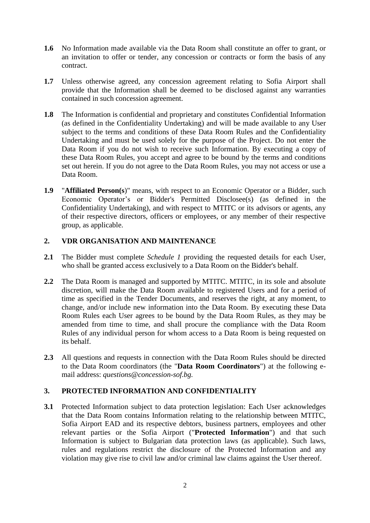- **1.6** No Information made available via the Data Room shall constitute an offer to grant, or an invitation to offer or tender, any concession or contracts or form the basis of any contract.
- **1.7** Unless otherwise agreed, any concession agreement relating to Sofia Airport shall provide that the Information shall be deemed to be disclosed against any warranties contained in such concession agreement.
- **1.8** The Information is confidential and proprietary and constitutes Confidential Information (as defined in the Confidentiality Undertaking) and will be made available to any User subject to the terms and conditions of these Data Room Rules and the Confidentiality Undertaking and must be used solely for the purpose of the Project. Do not enter the Data Room if you do not wish to receive such Information. By executing a copy of these Data Room Rules, you accept and agree to be bound by the terms and conditions set out herein. If you do not agree to the Data Room Rules, you may not access or use a Data Room.
- <span id="page-1-0"></span>**1.9** "**Affiliated Person(s**)" means, with respect to an Economic Operator or a Bidder, such Economic Operator's or Bidder's Permitted Disclosee(s) (as defined in the Confidentiality Undertaking), and with respect to MTITC or its advisors or agents, any of their respective directors, officers or employees, or any member of their respective group, as applicable.

## **2. VDR ORGANISATION AND MAINTENANCE**

- **2.1** The Bidder must complete *Schedule 1* providing the requested details for each User, who shall be granted access exclusively to a Data Room on the Bidder's behalf.
- **2.2** The Data Room is managed and supported by MTITC. MTITC, in its sole and absolute discretion, will make the Data Room available to registered Users and for a period of time as specified in the Tender Documents, and reserves the right, at any moment, to change, and/or include new information into the Data Room. By executing these Data Room Rules each User agrees to be bound by the Data Room Rules, as they may be amended from time to time, and shall procure the compliance with the Data Room Rules of any individual person for whom access to a Data Room is being requested on its behalf.
- **2.3** All questions and requests in connection with the Data Room Rules should be directed to the Data Room coordinators (the "**Data Room Coordinators**") at the following email address: *questions@concession-sof.bg.*

## **3. PROTECTED INFORMATION AND CONFIDENTIALITY**

**3.1** Protected Information subject to data protection legislation: Each User acknowledges that the Data Room contains Information relating to the relationship between MTITC, Sofia Airport EAD and its respective debtors, business partners, employees and other relevant parties or the Sofia Airport ("**Protected Information**") and that such Information is subject to Bulgarian data protection laws (as applicable). Such laws, rules and regulations restrict the disclosure of the Protected Information and any violation may give rise to civil law and/or criminal law claims against the User thereof.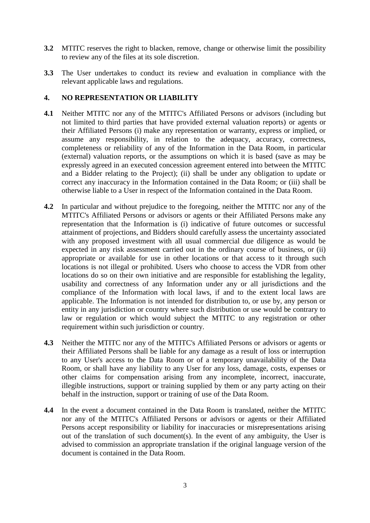- **3.2** MTITC reserves the right to blacken, remove, change or otherwise limit the possibility to review any of the files at its sole discretion.
- **3.3** The User undertakes to conduct its review and evaluation in compliance with the relevant applicable laws and regulations.

## **4. NO REPRESENTATION OR LIABILITY**

- <span id="page-2-0"></span>**4.1** Neither MTITC nor any of the MTITC's Affiliated Persons or advisors (including but not limited to third parties that have provided external valuation reports) or agents or their Affiliated Persons (i) make any representation or warranty, express or implied, or assume any responsibility, in relation to the adequacy, accuracy, correctness, completeness or reliability of any of the Information in the Data Room, in particular (external) valuation reports, or the assumptions on which it is based (save as may be expressly agreed in an executed concession agreement entered into between the MTITC and a Bidder relating to the Project); (ii) shall be under any obligation to update or correct any inaccuracy in the Information contained in the Data Room; or (iii) shall be otherwise liable to a User in respect of the Information contained in the Data Room.
- **4.2** In particular and without prejudice to the foregoing, neither the MTITC nor any of the MTITC's Affiliated Persons or advisors or agents or their Affiliated Persons make any representation that the Information is (i) indicative of future outcomes or successful attainment of projections, and Bidders should carefully assess the uncertainty associated with any proposed investment with all usual commercial due diligence as would be expected in any risk assessment carried out in the ordinary course of business, or (ii) appropriate or available for use in other locations or that access to it through such locations is not illegal or prohibited. Users who choose to access the VDR from other locations do so on their own initiative and are responsible for establishing the legality, usability and correctness of any Information under any or all jurisdictions and the compliance of the Information with local laws, if and to the extent local laws are applicable. The Information is not intended for distribution to, or use by, any person or entity in any jurisdiction or country where such distribution or use would be contrary to law or regulation or which would subject the MTITC to any registration or other requirement within such jurisdiction or country.
- **4.3** Neither the MTITC nor any of the MTITC's Affiliated Persons or advisors or agents or their Affiliated Persons shall be liable for any damage as a result of loss or interruption to any User's access to the Data Room or of a temporary unavailability of the Data Room, or shall have any liability to any User for any loss, damage, costs, expenses or other claims for compensation arising from any incomplete, incorrect, inaccurate, illegible instructions, support or training supplied by them or any party acting on their behalf in the instruction, support or training of use of the Data Room.
- **4.4** In the event a document contained in the Data Room is translated, neither the MTITC nor any of the MTITC's Affiliated Persons or advisors or agents or their Affiliated Persons accept responsibility or liability for inaccuracies or misrepresentations arising out of the translation of such document(s). In the event of any ambiguity, the User is advised to commission an appropriate translation if the original language version of the document is contained in the Data Room.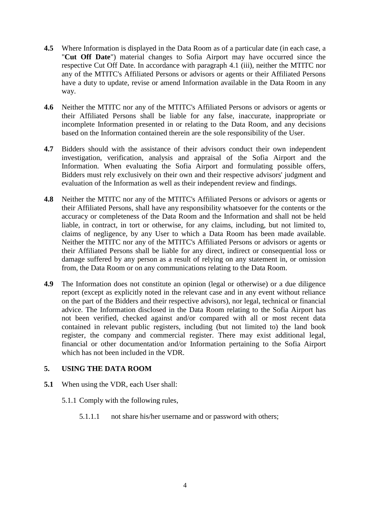- **4.5** Where Information is displayed in the Data Room as of a particular date (in each case, a "**Cut Off Date**") material changes to Sofia Airport may have occurred since the respective Cut Off Date. In accordance with paragraph [4.1](#page-2-0) (iii), neither the MTITC nor any of the MTITC's Affiliated Persons or advisors or agents or their Affiliated Persons have a duty to update, revise or amend Information available in the Data Room in any way.
- **4.6** Neither the MTITC nor any of the MTITC's Affiliated Persons or advisors or agents or their Affiliated Persons shall be liable for any false, inaccurate, inappropriate or incomplete Information presented in or relating to the Data Room, and any decisions based on the Information contained therein are the sole responsibility of the User.
- **4.7** Bidders should with the assistance of their advisors conduct their own independent investigation, verification, analysis and appraisal of the Sofia Airport and the Information. When evaluating the Sofia Airport and formulating possible offers, Bidders must rely exclusively on their own and their respective advisors' judgment and evaluation of the Information as well as their independent review and findings.
- **4.8** Neither the MTITC nor any of the MTITC's Affiliated Persons or advisors or agents or their Affiliated Persons, shall have any responsibility whatsoever for the contents or the accuracy or completeness of the Data Room and the Information and shall not be held liable, in contract, in tort or otherwise, for any claims, including, but not limited to, claims of negligence, by any User to which a Data Room has been made available. Neither the MTITC nor any of the MTITC's Affiliated Persons or advisors or agents or their Affiliated Persons shall be liable for any direct, indirect or consequential loss or damage suffered by any person as a result of relying on any statement in, or omission from, the Data Room or on any communications relating to the Data Room.
- **4.9** The Information does not constitute an opinion (legal or otherwise) or a due diligence report (except as explicitly noted in the relevant case and in any event without reliance on the part of the Bidders and their respective advisors), nor legal, technical or financial advice. The Information disclosed in the Data Room relating to the Sofia Airport has not been verified, checked against and/or compared with all or most recent data contained in relevant public registers, including (but not limited to) the land book register, the company and commercial register. There may exist additional legal, financial or other documentation and/or Information pertaining to the Sofia Airport which has not been included in the VDR.

## **5. USING THE DATA ROOM**

- **5.1** When using the VDR, each User shall:
	- 5.1.1 Comply with the following rules,
		- 5.1.1.1 not share his/her username and or password with others;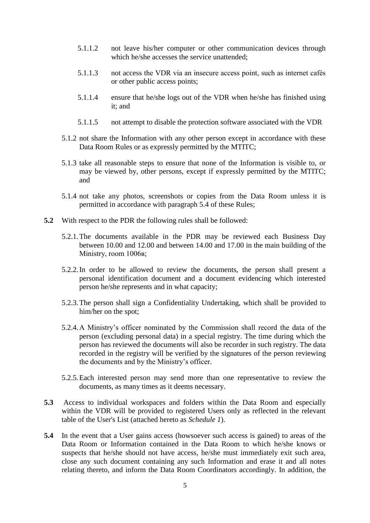- 5.1.1.2 not leave his/her computer or other communication devices through which he/she accesses the service unattended;
- 5.1.1.3 not access the VDR via an insecure access point, such as internet cafés or other public access points;
- 5.1.1.4 ensure that he/she logs out of the VDR when he/she has finished using it; and
- 5.1.1.5 not attempt to disable the protection software associated with the VDR
- 5.1.2 not share the Information with any other person except in accordance with these Data Room Rules or as expressly permitted by the MTITC;
- 5.1.3 take all reasonable steps to ensure that none of the Information is visible to, or may be viewed by, other persons, except if expressly permitted by the MTITC; and
- 5.1.4 not take any photos, screenshots or copies from the Data Room unless it is permitted in accordance with paragraph 5.4 of these Rules;
- **5.2** With respect to the PDR the following rules shall be followed:
	- 5.2.1.The documents available in the PDR may be reviewed each Business Day between 10.00 and 12.00 and between 14.00 and 17.00 in the main building of the Ministry, room 1006в;
	- 5.2.2.In order to be allowed to review the documents, the person shall present a personal identification document and a document evidencing which interested person he/she represents and in what capacity;
	- 5.2.3.The person shall sign a Confidentiality Undertaking, which shall be provided to him/her on the spot;
	- 5.2.4.A Ministry's officer nominated by the Commission shall record the data of the person (excluding personal data) in a special registry. The time during which the person has reviewed the documents will also be recorder in such registry. The data recorded in the registry will be verified by the signatures of the person reviewing the documents and by the Ministry's officer.
	- 5.2.5.Each interested person may send more than one representative to review the documents, as many times as it deems necessary.
- **5.3** Access to individual workspaces and folders within the Data Room and especially within the VDR will be provided to registered Users only as reflected in the relevant table of the User's List (attached hereto as *Schedule 1*).
- **5.4** In the event that a User gains access (howsoever such access is gained) to areas of the Data Room or Information contained in the Data Room to which he/she knows or suspects that he/she should not have access, he/she must immediately exit such area, close any such document containing any such Information and erase it and all notes relating thereto, and inform the Data Room Coordinators accordingly. In addition, the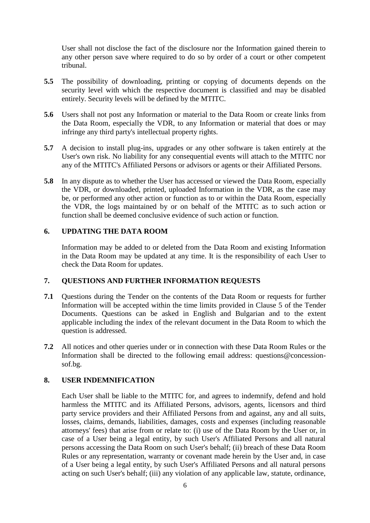User shall not disclose the fact of the disclosure nor the Information gained therein to any other person save where required to do so by order of a court or other competent tribunal.

- **5.5** The possibility of downloading, printing or copying of documents depends on the security level with which the respective document is classified and may be disabled entirely. Security levels will be defined by the MTITC.
- **5.6** Users shall not post any Information or material to the Data Room or create links from the Data Room, especially the VDR, to any Information or material that does or may infringe any third party's intellectual property rights.
- **5.7** A decision to install plug-ins, upgrades or any other software is taken entirely at the User's own risk. No liability for any consequential events will attach to the MTITC nor any of the MTITC's Affiliated Persons or advisors or agents or their Affiliated Persons.
- **5.8** In any dispute as to whether the User has accessed or viewed the Data Room, especially the VDR, or downloaded, printed, uploaded Information in the VDR, as the case may be, or performed any other action or function as to or within the Data Room, especially the VDR, the logs maintained by or on behalf of the MTITC as to such action or function shall be deemed conclusive evidence of such action or function.

#### **6. UPDATING THE DATA ROOM**

Information may be added to or deleted from the Data Room and existing Information in the Data Room may be updated at any time. It is the responsibility of each User to check the Data Room for updates.

#### **7. QUESTIONS AND FURTHER INFORMATION REQUESTS**

- **7.1** Questions during the Tender on the contents of the Data Room or requests for further Information will be accepted within the time limits provided in Clause 5 of the Tender Documents. Questions can be asked in English and Bulgarian and to the extent applicable including the index of the relevant document in the Data Room to which the question is addressed.
- **7.2** All notices and other queries under or in connection with these Data Room Rules or the Information shall be directed to the following email address: questions@concessionsof.bg.

#### **8. USER INDEMNIFICATION**

Each User shall be liable to the MTITC for, and agrees to indemnify, defend and hold harmless the MTITC and its Affiliated Persons, advisors, agents, licensors and third party service providers and their Affiliated Persons from and against, any and all suits, losses, claims, demands, liabilities, damages, costs and expenses (including reasonable attorneys' fees) that arise from or relate to: (i) use of the Data Room by the User or, in case of a User being a legal entity, by such User's Affiliated Persons and all natural persons accessing the Data Room on such User's behalf; (ii) breach of these Data Room Rules or any representation, warranty or covenant made herein by the User and, in case of a User being a legal entity, by such User's Affiliated Persons and all natural persons acting on such User's behalf; (iii) any violation of any applicable law, statute, ordinance,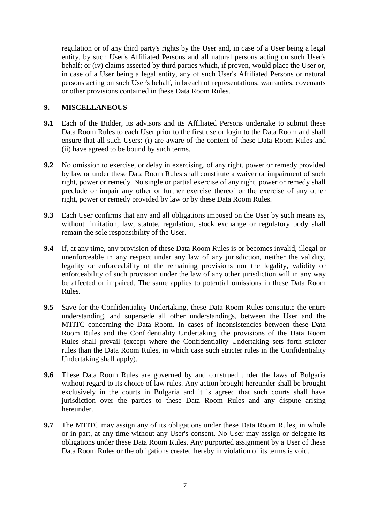regulation or of any third party's rights by the User and, in case of a User being a legal entity, by such User's Affiliated Persons and all natural persons acting on such User's behalf; or (iv) claims asserted by third parties which, if proven, would place the User or, in case of a User being a legal entity, any of such User's Affiliated Persons or natural persons acting on such User's behalf, in breach of representations, warranties, covenants or other provisions contained in these Data Room Rules.

## **9. MISCELLANEOUS**

- **9.1** Each of the Bidder, its advisors and its Affiliated Persons undertake to submit these Data Room Rules to each User prior to the first use or login to the Data Room and shall ensure that all such Users: (i) are aware of the content of these Data Room Rules and (ii) have agreed to be bound by such terms.
- **9.2** No omission to exercise, or delay in exercising, of any right, power or remedy provided by law or under these Data Room Rules shall constitute a waiver or impairment of such right, power or remedy. No single or partial exercise of any right, power or remedy shall preclude or impair any other or further exercise thereof or the exercise of any other right, power or remedy provided by law or by these Data Room Rules.
- **9.3** Each User confirms that any and all obligations imposed on the User by such means as, without limitation, law, statute, regulation, stock exchange or regulatory body shall remain the sole responsibility of the User.
- **9.4** If, at any time, any provision of these Data Room Rules is or becomes invalid, illegal or unenforceable in any respect under any law of any jurisdiction, neither the validity, legality or enforceability of the remaining provisions nor the legality, validity or enforceability of such provision under the law of any other jurisdiction will in any way be affected or impaired. The same applies to potential omissions in these Data Room Rules.
- **9.5** Save for the Confidentiality Undertaking, these Data Room Rules constitute the entire understanding, and supersede all other understandings, between the User and the MTITC concerning the Data Room. In cases of inconsistencies between these Data Room Rules and the Confidentiality Undertaking, the provisions of the Data Room Rules shall prevail (except where the Confidentiality Undertaking sets forth stricter rules than the Data Room Rules, in which case such stricter rules in the Confidentiality Undertaking shall apply).
- **9.6** These Data Room Rules are governed by and construed under the laws of Bulgaria without regard to its choice of law rules. Any action brought hereunder shall be brought exclusively in the courts in Bulgaria and it is agreed that such courts shall have jurisdiction over the parties to these Data Room Rules and any dispute arising hereunder.
- **9.7** The MTITC may assign any of its obligations under these Data Room Rules, in whole or in part, at any time without any User's consent. No User may assign or delegate its obligations under these Data Room Rules. Any purported assignment by a User of these Data Room Rules or the obligations created hereby in violation of its terms is void.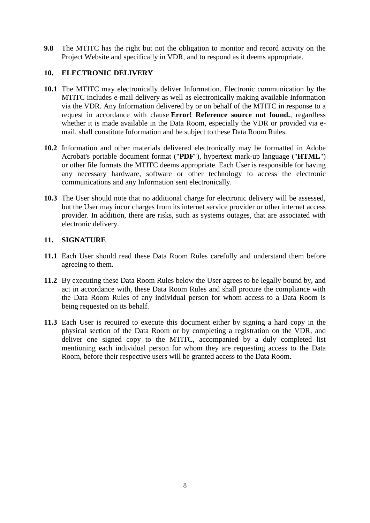**9.8** The MTITC has the right but not the obligation to monitor and record activity on the Project Website and specifically in VDR, and to respond as it deems appropriate.

## **10. ELECTRONIC DELIVERY**

- **10.1** The MTITC may electronically deliver Information. Electronic communication by the MTITC includes e-mail delivery as well as electronically making available Information via the VDR. Any Information delivered by or on behalf of the MTITC in response to a request in accordance with clause **Error! Reference source not found.**, regardless whether it is made available in the Data Room, especially the VDR or provided via email, shall constitute Information and be subject to these Data Room Rules.
- **10.2** Information and other materials delivered electronically may be formatted in Adobe Acrobat's portable document format ("**PDF**"), hypertext mark-up language ("**HTML**") or other file formats the MTITC deems appropriate. Each User is responsible for having any necessary hardware, software or other technology to access the electronic communications and any Information sent electronically.
- **10.3** The User should note that no additional charge for electronic delivery will be assessed, but the User may incur charges from its internet service provider or other internet access provider. In addition, there are risks, such as systems outages, that are associated with electronic delivery.

## **11. SIGNATURE**

- **11.1** Each User should read these Data Room Rules carefully and understand them before agreeing to them.
- **11.2** By executing these Data Room Rules below the User agrees to be legally bound by, and act in accordance with, these Data Room Rules and shall procure the compliance with the Data Room Rules of any individual person for whom access to a Data Room is being requested on its behalf.
- **11.3** Each User is required to execute this document either by signing a hard copy in the physical section of the Data Room or by completing a registration on the VDR, and deliver one signed copy to the MTITC, accompanied by a duly completed list mentioning each individual person for whom they are requesting access to the Data Room, before their respective users will be granted access to the Data Room.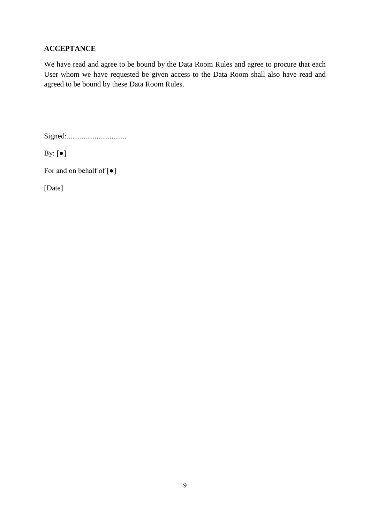## **ACCEPTANCE**

We have read and agree to be bound by the Data Room Rules and agree to procure that each User whom we have requested be given access to the Data Room shall also have read and agreed to be bound by these Data Room Rules.

Signed:................................

By: [●]

For and on behalf of [●]

[Date]